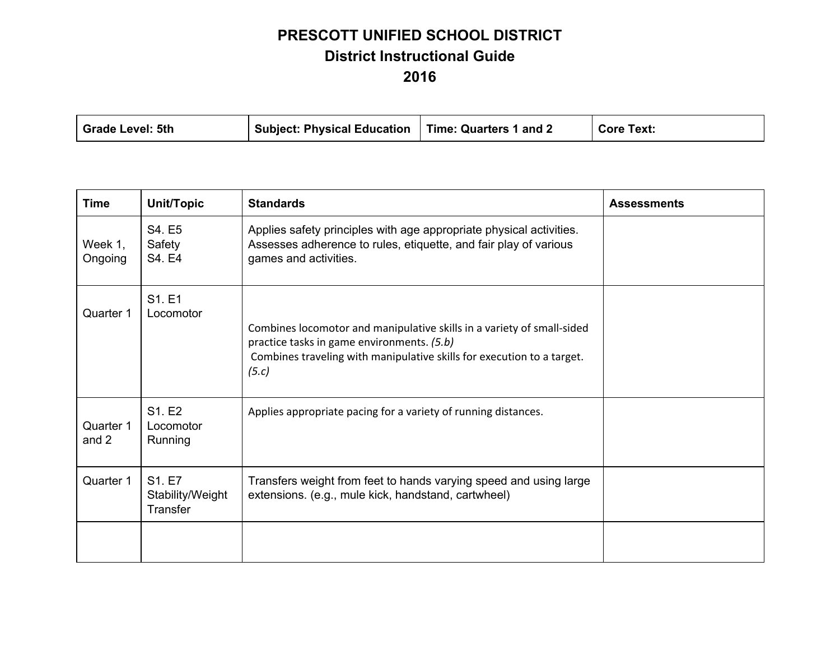| Grade Level: 5th | Subject: Physical Education   Time: Quarters 1 and 2 |  | <b>Core Text:</b> |
|------------------|------------------------------------------------------|--|-------------------|
|------------------|------------------------------------------------------|--|-------------------|

| <b>Time</b>        | Unit/Topic                             | <b>Standards</b>                                                                                                                                                                                        | <b>Assessments</b> |
|--------------------|----------------------------------------|---------------------------------------------------------------------------------------------------------------------------------------------------------------------------------------------------------|--------------------|
| Week 1,<br>Ongoing | S4. E5<br>Safety<br>S4. E4             | Applies safety principles with age appropriate physical activities.<br>Assesses adherence to rules, etiquette, and fair play of various<br>games and activities.                                        |                    |
| Quarter 1          | S1. E1<br>Locomotor                    | Combines locomotor and manipulative skills in a variety of small-sided<br>practice tasks in game environments. (5.b)<br>Combines traveling with manipulative skills for execution to a target.<br>(5.c) |                    |
| Quarter 1<br>and 2 | S1. E2<br>Locomotor<br>Running         | Applies appropriate pacing for a variety of running distances.                                                                                                                                          |                    |
| Quarter 1          | S1. E7<br>Stability/Weight<br>Transfer | Transfers weight from feet to hands varying speed and using large<br>extensions. (e.g., mule kick, handstand, cartwheel)                                                                                |                    |
|                    |                                        |                                                                                                                                                                                                         |                    |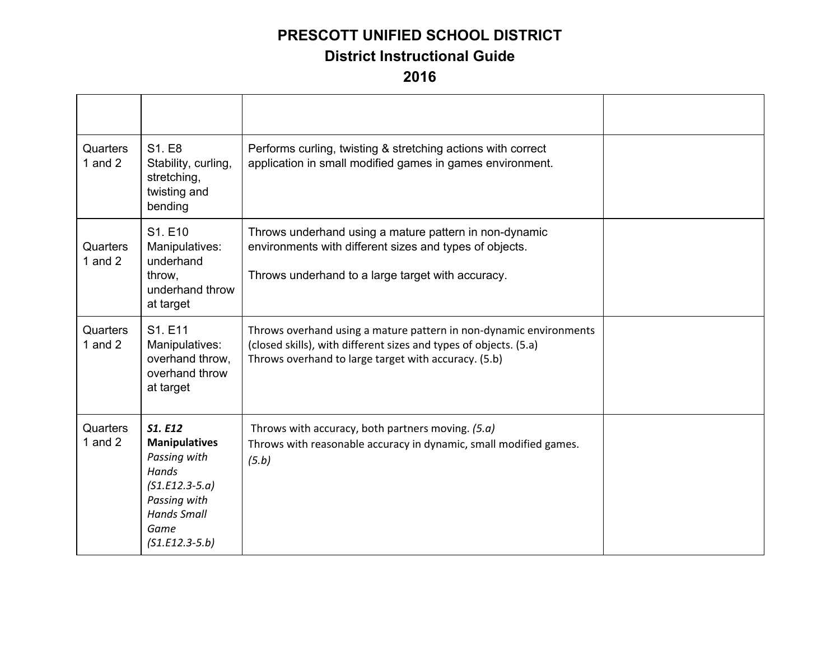| Quarters<br>1 and $2$ | S1. E8<br>Stability, curling,<br>stretching,<br>twisting and<br>bending                                                                               | Performs curling, twisting & stretching actions with correct<br>application in small modified games in games environment.                                                                       |  |
|-----------------------|-------------------------------------------------------------------------------------------------------------------------------------------------------|-------------------------------------------------------------------------------------------------------------------------------------------------------------------------------------------------|--|
| Quarters<br>1 and $2$ | S1. E10<br>Manipulatives:<br>underhand<br>throw,<br>underhand throw<br>at target                                                                      | Throws underhand using a mature pattern in non-dynamic<br>environments with different sizes and types of objects.<br>Throws underhand to a large target with accuracy.                          |  |
| Quarters<br>1 and $2$ | S1. E11<br>Manipulatives:<br>overhand throw,<br>overhand throw<br>at target                                                                           | Throws overhand using a mature pattern in non-dynamic environments<br>(closed skills), with different sizes and types of objects. (5.a)<br>Throws overhand to large target with accuracy. (5.b) |  |
| Quarters<br>1 and $2$ | <b>S1. E12</b><br><b>Manipulatives</b><br>Passing with<br>Hands<br>$(S1.E12.3-5.a)$<br>Passing with<br><b>Hands Small</b><br>Game<br>$(S1.E12.3-5.b)$ | Throws with accuracy, both partners moving. (5.a)<br>Throws with reasonable accuracy in dynamic, small modified games.<br>(5.b)                                                                 |  |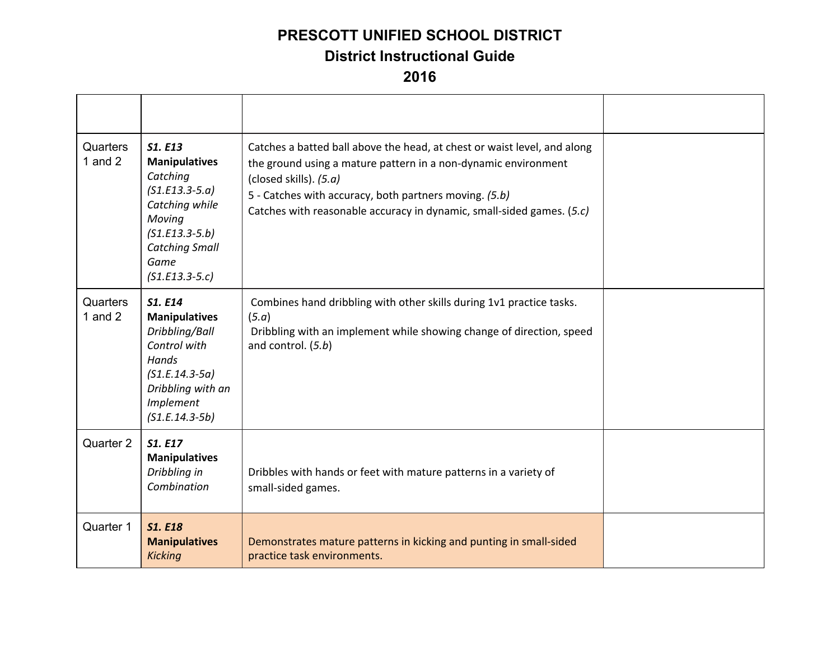| Quarters<br>1 and $2$ | <b>S1. E13</b><br><b>Manipulatives</b><br>Catching<br>$(S1.E13.3-5.a)$<br>Catching while<br>Moving<br>$(S1.E13.3-5.b)$<br><b>Catching Small</b><br>Game<br>$(S1.E13.3-5.c)$ | Catches a batted ball above the head, at chest or waist level, and along<br>the ground using a mature pattern in a non-dynamic environment<br>(closed skills). (5.a)<br>5 - Catches with accuracy, both partners moving. (5.b)<br>Catches with reasonable accuracy in dynamic, small-sided games. (5.c) |  |
|-----------------------|-----------------------------------------------------------------------------------------------------------------------------------------------------------------------------|---------------------------------------------------------------------------------------------------------------------------------------------------------------------------------------------------------------------------------------------------------------------------------------------------------|--|
| Quarters<br>1 and $2$ | <b>S1. E14</b><br><b>Manipulatives</b><br>Dribbling/Ball<br>Control with<br>Hands<br>$(S1.E.14.3-5a)$<br>Dribbling with an<br>Implement<br>$(S1.E.14.3-5b)$                 | Combines hand dribbling with other skills during 1v1 practice tasks.<br>(5.a)<br>Dribbling with an implement while showing change of direction, speed<br>and control. (5.b)                                                                                                                             |  |
| Quarter 2             | <b>S1. E17</b><br><b>Manipulatives</b><br>Dribbling in<br>Combination                                                                                                       | Dribbles with hands or feet with mature patterns in a variety of<br>small-sided games.                                                                                                                                                                                                                  |  |
| Quarter 1             | <b>S1. E18</b><br><b>Manipulatives</b><br><b>Kicking</b>                                                                                                                    | Demonstrates mature patterns in kicking and punting in small-sided<br>practice task environments.                                                                                                                                                                                                       |  |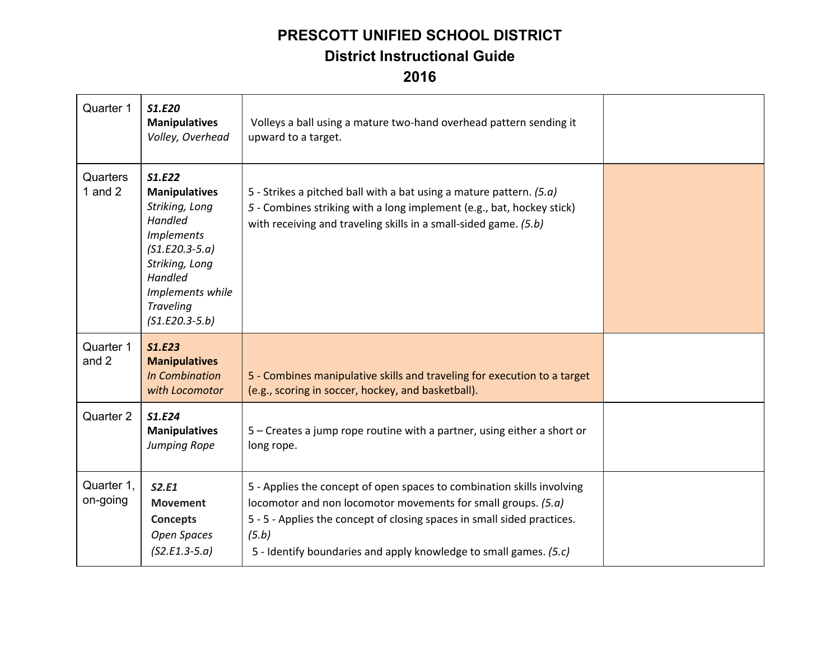| Quarter 1              | S1.E20<br><b>Manipulatives</b><br>Volley, Overhead                                                                                                                                                   | Volleys a ball using a mature two-hand overhead pattern sending it<br>upward to a target.                                                                                                                                                                                                        |  |
|------------------------|------------------------------------------------------------------------------------------------------------------------------------------------------------------------------------------------------|--------------------------------------------------------------------------------------------------------------------------------------------------------------------------------------------------------------------------------------------------------------------------------------------------|--|
| Quarters<br>1 and $2$  | S1.E22<br><b>Manipulatives</b><br>Striking, Long<br><b>Handled</b><br><b>Implements</b><br>$(S1.E20.3-5.a)$<br>Striking, Long<br>Handled<br>Implements while<br><b>Traveling</b><br>$(S1.E20.3-5.b)$ | 5 - Strikes a pitched ball with a bat using a mature pattern. $(5.a)$<br>5 - Combines striking with a long implement (e.g., bat, hockey stick)<br>with receiving and traveling skills in a small-sided game. (5.b)                                                                               |  |
| Quarter 1<br>and 2     | <b>S1.E23</b><br><b>Manipulatives</b><br><b>In Combination</b><br>with Locomotor                                                                                                                     | 5 - Combines manipulative skills and traveling for execution to a target<br>(e.g., scoring in soccer, hockey, and basketball).                                                                                                                                                                   |  |
| Quarter 2              | S1.E24<br><b>Manipulatives</b><br>Jumping Rope                                                                                                                                                       | 5 – Creates a jump rope routine with a partner, using either a short or<br>long rope.                                                                                                                                                                                                            |  |
| Quarter 1,<br>on-going | S2.E1<br><b>Movement</b><br><b>Concepts</b><br><b>Open Spaces</b><br>$(S2.E1.3-5.a)$                                                                                                                 | 5 - Applies the concept of open spaces to combination skills involving<br>locomotor and non locomotor movements for small groups. (5.a)<br>5 - 5 - Applies the concept of closing spaces in small sided practices.<br>(5.b)<br>5 - Identify boundaries and apply knowledge to small games. (5.c) |  |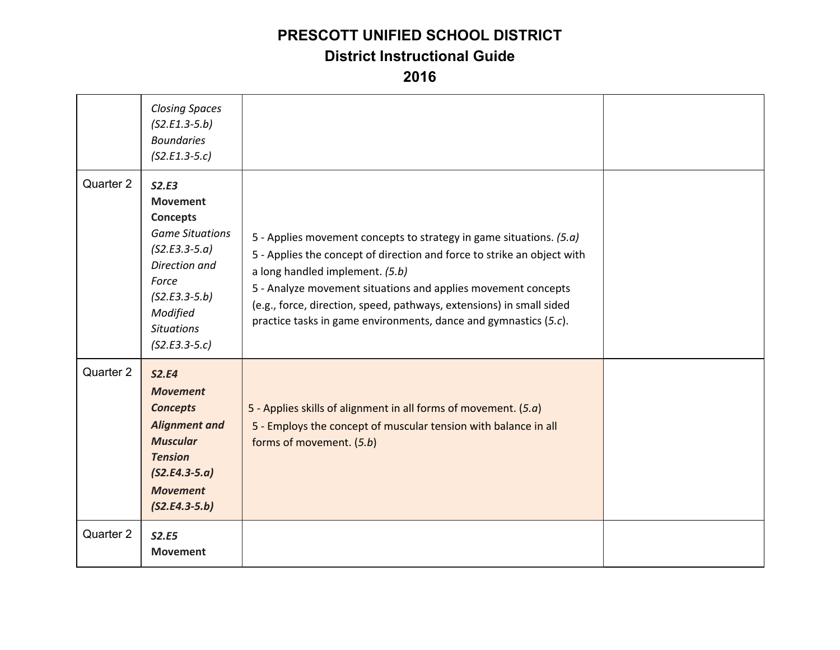## **PRESCOTT UNIFIED SCHOOL DISTRICT**

#### **District Instructional Guide**

|           | <b>Closing Spaces</b><br>$(S2.E1.3-5.b)$<br><b>Boundaries</b><br>$(S2.E1.3-5.c)$                                                                                                          |                                                                                                                                                                                                                                                                                                                                                                                                |  |
|-----------|-------------------------------------------------------------------------------------------------------------------------------------------------------------------------------------------|------------------------------------------------------------------------------------------------------------------------------------------------------------------------------------------------------------------------------------------------------------------------------------------------------------------------------------------------------------------------------------------------|--|
| Quarter 2 | S2.E3<br><b>Movement</b><br><b>Concepts</b><br><b>Game Situations</b><br>$(S2.E3.3-5.a)$<br>Direction and<br>Force<br>$(S2.E3.3-5.b)$<br>Modified<br><b>Situations</b><br>$(S2.E3.3-5.c)$ | 5 - Applies movement concepts to strategy in game situations. (5.a)<br>5 - Applies the concept of direction and force to strike an object with<br>a long handled implement. (5.b)<br>5 - Analyze movement situations and applies movement concepts<br>(e.g., force, direction, speed, pathways, extensions) in small sided<br>practice tasks in game environments, dance and gymnastics (5.c). |  |
| Quarter 2 | <b>S2.E4</b><br><b>Movement</b><br><b>Concepts</b><br><b>Alignment and</b><br><b>Muscular</b><br><b>Tension</b><br>$(S2.E4.3-5.a)$<br><b>Movement</b><br>$(S2.E4.3-5.b)$                  | 5 - Applies skills of alignment in all forms of movement. $(5.a)$<br>5 - Employs the concept of muscular tension with balance in all<br>forms of movement. (5.b)                                                                                                                                                                                                                               |  |
| Quarter 2 | <b>S2.E5</b><br><b>Movement</b>                                                                                                                                                           |                                                                                                                                                                                                                                                                                                                                                                                                |  |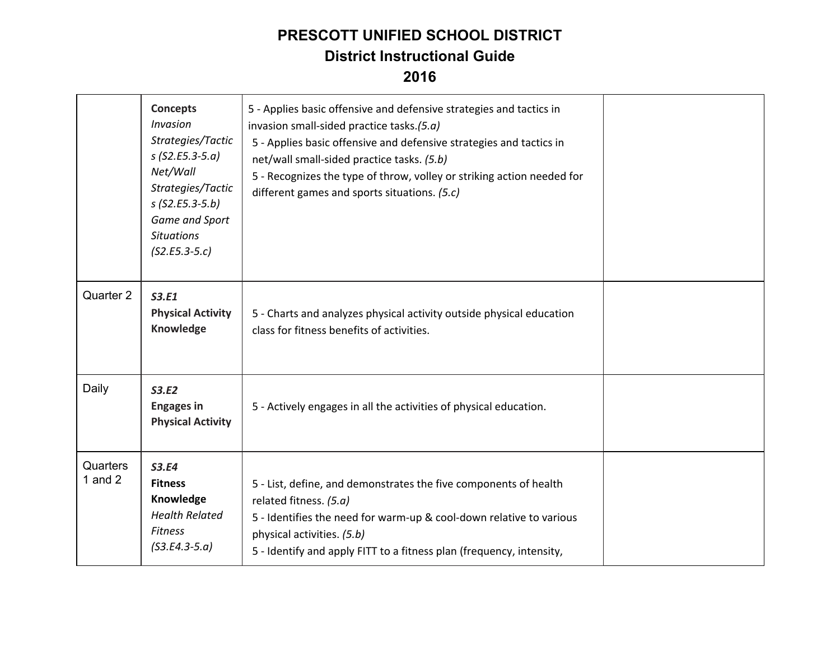|                       | <b>Concepts</b><br><b>Invasion</b><br>Strategies/Tactic<br>$s$ (S2.E5.3-5.a)<br>Net/Wall<br>Strategies/Tactic<br>$s$ (S2.E5.3-5.b)<br>Game and Sport<br><b>Situations</b><br>$(S2.E5.3-5.c)$ | 5 - Applies basic offensive and defensive strategies and tactics in<br>invasion small-sided practice tasks.(5.a)<br>5 - Applies basic offensive and defensive strategies and tactics in<br>net/wall small-sided practice tasks. (5.b)<br>5 - Recognizes the type of throw, volley or striking action needed for<br>different games and sports situations. (5.c) |  |
|-----------------------|----------------------------------------------------------------------------------------------------------------------------------------------------------------------------------------------|-----------------------------------------------------------------------------------------------------------------------------------------------------------------------------------------------------------------------------------------------------------------------------------------------------------------------------------------------------------------|--|
| Quarter 2             | <b>S3.E1</b><br><b>Physical Activity</b><br>Knowledge                                                                                                                                        | 5 - Charts and analyzes physical activity outside physical education<br>class for fitness benefits of activities.                                                                                                                                                                                                                                               |  |
| Daily                 | S3.E2<br><b>Engages in</b><br><b>Physical Activity</b>                                                                                                                                       | 5 - Actively engages in all the activities of physical education.                                                                                                                                                                                                                                                                                               |  |
| Quarters<br>1 and $2$ | <b>S3.E4</b><br><b>Fitness</b><br>Knowledge<br><b>Health Related</b><br><b>Fitness</b><br>$($ S3.E4.3-5.a $)$                                                                                | 5 - List, define, and demonstrates the five components of health<br>related fitness. (5.a)<br>5 - Identifies the need for warm-up & cool-down relative to various<br>physical activities. (5.b)<br>5 - Identify and apply FITT to a fitness plan (frequency, intensity,                                                                                         |  |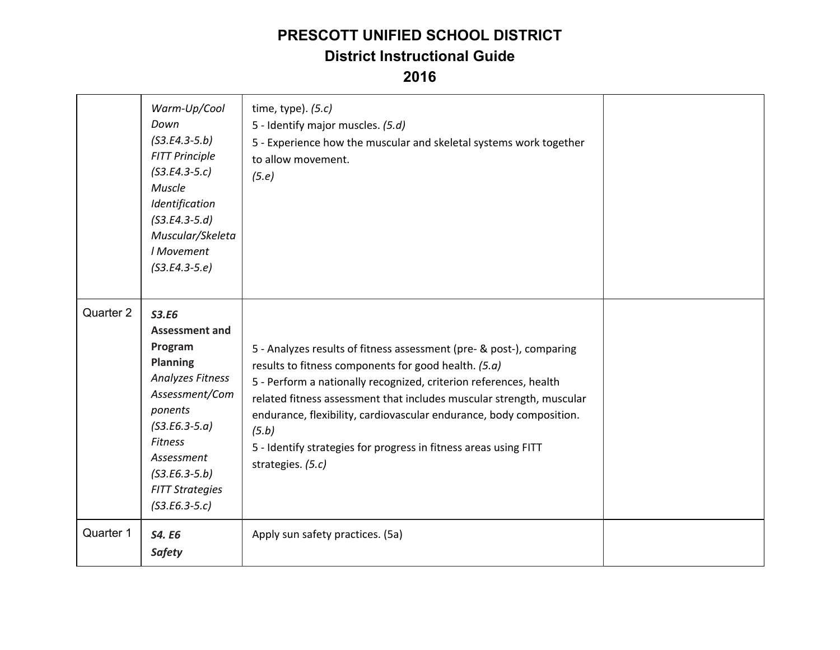|           | Warm-Up/Cool<br>Down<br>$($ S3.E4.3-5.b $)$<br><b>FITT Principle</b><br>$(S3.E4.3-5.c)$<br>Muscle<br>Identification<br>$(S3.E4.3-5.d)$<br>Muscular/Skeleta<br>I Movement<br>$(S3.E4.3-5.e)$                                                             | time, type). $(5.c)$<br>5 - Identify major muscles. (5.d)<br>5 - Experience how the muscular and skeletal systems work together<br>to allow movement.<br>(5.e)                                                                                                                                                                                                                                                                                     |  |
|-----------|---------------------------------------------------------------------------------------------------------------------------------------------------------------------------------------------------------------------------------------------------------|----------------------------------------------------------------------------------------------------------------------------------------------------------------------------------------------------------------------------------------------------------------------------------------------------------------------------------------------------------------------------------------------------------------------------------------------------|--|
| Quarter 2 | <b>S3.E6</b><br><b>Assessment and</b><br>Program<br><b>Planning</b><br><b>Analyzes Fitness</b><br>Assessment/Com<br>ponents<br>$($ S3.E6.3-5.a $)$<br><b>Fitness</b><br>Assessment<br>$($ S3.E6.3-5.b)<br><b>FITT Strategies</b><br>$($ S3.E6.3-5.c $)$ | 5 - Analyzes results of fitness assessment (pre- & post-), comparing<br>results to fitness components for good health. (5.a)<br>5 - Perform a nationally recognized, criterion references, health<br>related fitness assessment that includes muscular strength, muscular<br>endurance, flexibility, cardiovascular endurance, body composition.<br>(5.b)<br>5 - Identify strategies for progress in fitness areas using FITT<br>strategies. (5.c) |  |
| Quarter 1 | <b>S4. E6</b><br><b>Safety</b>                                                                                                                                                                                                                          | Apply sun safety practices. (5a)                                                                                                                                                                                                                                                                                                                                                                                                                   |  |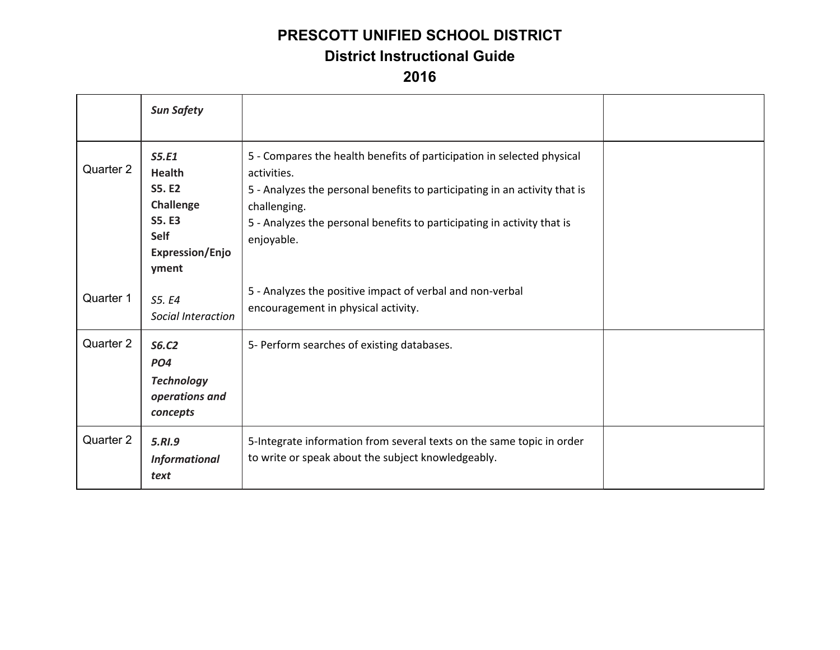|           | <b>Sun Safety</b>                                                                                                       |                                                                                                                                                                                                                                                                              |  |
|-----------|-------------------------------------------------------------------------------------------------------------------------|------------------------------------------------------------------------------------------------------------------------------------------------------------------------------------------------------------------------------------------------------------------------------|--|
| Quarter 2 | S5.E1<br><b>Health</b><br><b>S5. E2</b><br>Challenge<br><b>S5. E3</b><br><b>Self</b><br><b>Expression/Enjo</b><br>yment | 5 - Compares the health benefits of participation in selected physical<br>activities.<br>5 - Analyzes the personal benefits to participating in an activity that is<br>challenging.<br>5 - Analyzes the personal benefits to participating in activity that is<br>enjoyable. |  |
| Quarter 1 | S5. E4<br>Social Interaction                                                                                            | 5 - Analyzes the positive impact of verbal and non-verbal<br>encouragement in physical activity.                                                                                                                                                                             |  |
| Quarter 2 | <b>S6.C2</b><br>PO <sub>4</sub><br><b>Technology</b><br>operations and<br>concepts                                      | 5- Perform searches of existing databases.                                                                                                                                                                                                                                   |  |
| Quarter 2 | 5.RI.9<br><b>Informational</b><br>text                                                                                  | 5-Integrate information from several texts on the same topic in order<br>to write or speak about the subject knowledgeably.                                                                                                                                                  |  |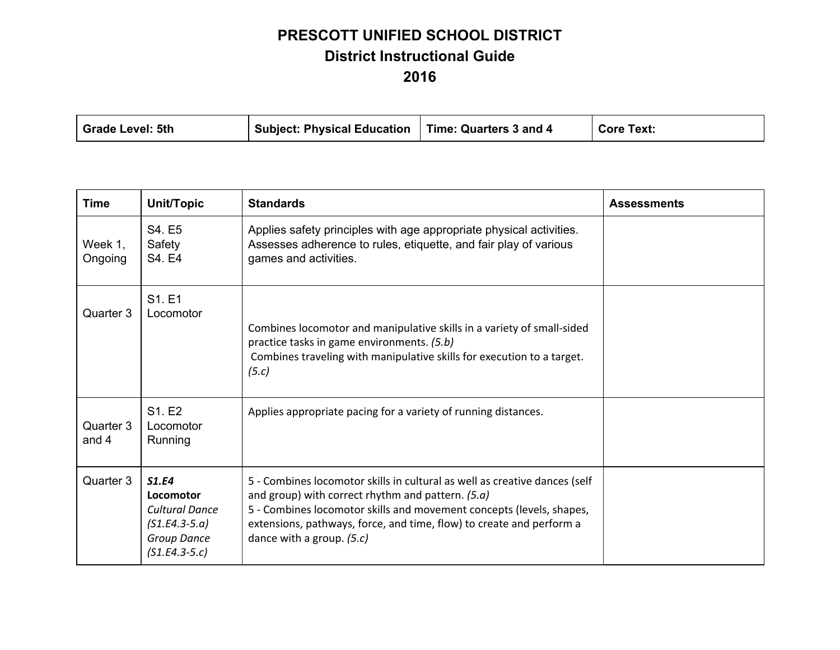| Grade Level: 5th | Subject: Physical Education   Time: Quarters 3 and 4 |  | <b>Core Text:</b> |
|------------------|------------------------------------------------------|--|-------------------|
|------------------|------------------------------------------------------|--|-------------------|

| <b>Time</b>        | Unit/Topic                                                                                              | <b>Standards</b>                                                                                                                                                                                                                                                                                             | <b>Assessments</b> |
|--------------------|---------------------------------------------------------------------------------------------------------|--------------------------------------------------------------------------------------------------------------------------------------------------------------------------------------------------------------------------------------------------------------------------------------------------------------|--------------------|
| Week 1,<br>Ongoing | S4. E5<br>Safety<br>S4. E4                                                                              | Applies safety principles with age appropriate physical activities.<br>Assesses adherence to rules, etiquette, and fair play of various<br>games and activities.                                                                                                                                             |                    |
| Quarter 3          | S1. E1<br>Locomotor                                                                                     | Combines locomotor and manipulative skills in a variety of small-sided<br>practice tasks in game environments. (5.b)<br>Combines traveling with manipulative skills for execution to a target.<br>(5.c)                                                                                                      |                    |
| Quarter 3<br>and 4 | S1. E2<br>Locomotor<br>Running                                                                          | Applies appropriate pacing for a variety of running distances.                                                                                                                                                                                                                                               |                    |
| Quarter 3          | S1.E4<br>Locomotor<br><b>Cultural Dance</b><br>$(S1.E4.3-5.a)$<br><b>Group Dance</b><br>$(S1.E4.3-5.c)$ | 5 - Combines locomotor skills in cultural as well as creative dances (self<br>and group) with correct rhythm and pattern. (5.a)<br>5 - Combines locomotor skills and movement concepts (levels, shapes,<br>extensions, pathways, force, and time, flow) to create and perform a<br>dance with a group. (5.c) |                    |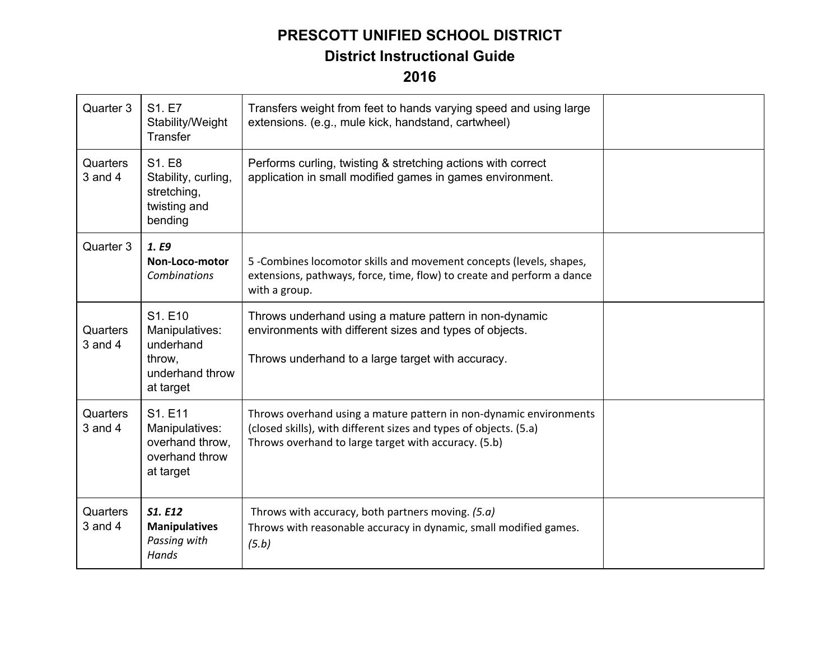| Quarter 3               | S1. E7<br>Stability/Weight<br>Transfer                                           | Transfers weight from feet to hands varying speed and using large<br>extensions. (e.g., mule kick, handstand, cartwheel)                                                                        |  |
|-------------------------|----------------------------------------------------------------------------------|-------------------------------------------------------------------------------------------------------------------------------------------------------------------------------------------------|--|
| Quarters<br>$3$ and $4$ | S1. E8<br>Stability, curling,<br>stretching,<br>twisting and<br>bending          | Performs curling, twisting & stretching actions with correct<br>application in small modified games in games environment.                                                                       |  |
| Quarter 3               | 1. E9<br>Non-Loco-motor<br><b>Combinations</b>                                   | 5 - Combines locomotor skills and movement concepts (levels, shapes,<br>extensions, pathways, force, time, flow) to create and perform a dance<br>with a group.                                 |  |
| Quarters<br>$3$ and $4$ | S1. E10<br>Manipulatives:<br>underhand<br>throw,<br>underhand throw<br>at target | Throws underhand using a mature pattern in non-dynamic<br>environments with different sizes and types of objects.<br>Throws underhand to a large target with accuracy.                          |  |
| Quarters<br>$3$ and $4$ | S1. E11<br>Manipulatives:<br>overhand throw,<br>overhand throw<br>at target      | Throws overhand using a mature pattern in non-dynamic environments<br>(closed skills), with different sizes and types of objects. (5.a)<br>Throws overhand to large target with accuracy. (5.b) |  |
| Quarters<br>$3$ and $4$ | <b>S1. E12</b><br><b>Manipulatives</b><br>Passing with<br>Hands                  | Throws with accuracy, both partners moving. (5.a)<br>Throws with reasonable accuracy in dynamic, small modified games.<br>(5.b)                                                                 |  |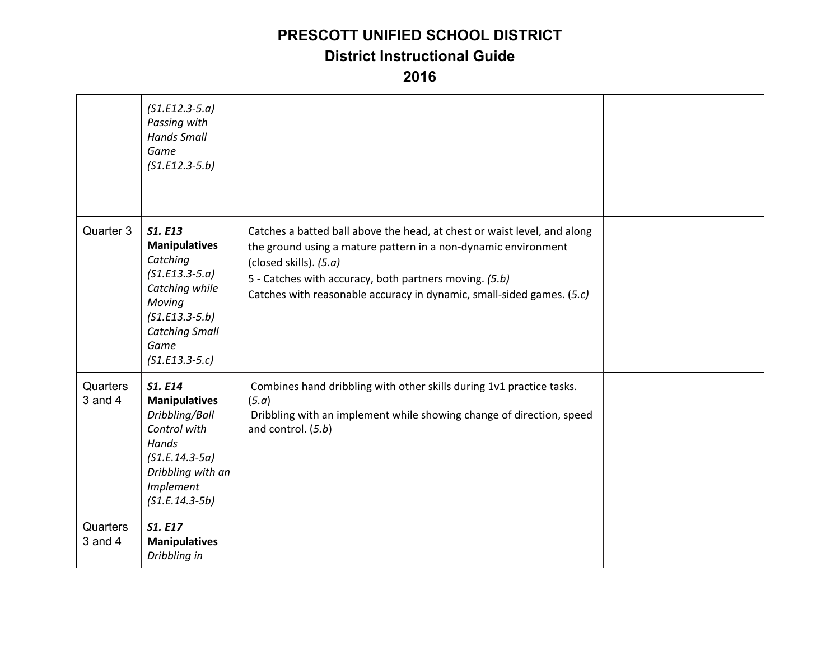#### **PRESCOTT UNIFIED SCHOOL DISTRICT**

#### **District Instructional Guide**

|                         | $(S1.E12.3-5.a)$<br>Passing with<br><b>Hands Small</b><br>Game<br>$(S1.E12.3-5.b)$                                                                                          |                                                                                                                                                                                                                                                                                                         |  |
|-------------------------|-----------------------------------------------------------------------------------------------------------------------------------------------------------------------------|---------------------------------------------------------------------------------------------------------------------------------------------------------------------------------------------------------------------------------------------------------------------------------------------------------|--|
| Quarter 3               | <b>S1. E13</b><br><b>Manipulatives</b><br>Catching<br>$(51.E13.3-5.a)$<br>Catching while<br>Moving<br>$(S1.E13.3-5.b)$<br><b>Catching Small</b><br>Game<br>$(S1.E13.3-5.c)$ | Catches a batted ball above the head, at chest or waist level, and along<br>the ground using a mature pattern in a non-dynamic environment<br>(closed skills). (5.a)<br>5 - Catches with accuracy, both partners moving. (5.b)<br>Catches with reasonable accuracy in dynamic, small-sided games. (5.c) |  |
| Quarters<br>$3$ and $4$ | S1. E14<br><b>Manipulatives</b><br>Dribbling/Ball<br>Control with<br>Hands<br>$(S1.E.14.3-5a)$<br>Dribbling with an<br><b>Implement</b><br>$(S1.E.14.3-5b)$                 | Combines hand dribbling with other skills during 1v1 practice tasks.<br>(5.a)<br>Dribbling with an implement while showing change of direction, speed<br>and control. (5.b)                                                                                                                             |  |
| Quarters<br>$3$ and $4$ | S1. E17<br><b>Manipulatives</b><br>Dribbling in                                                                                                                             |                                                                                                                                                                                                                                                                                                         |  |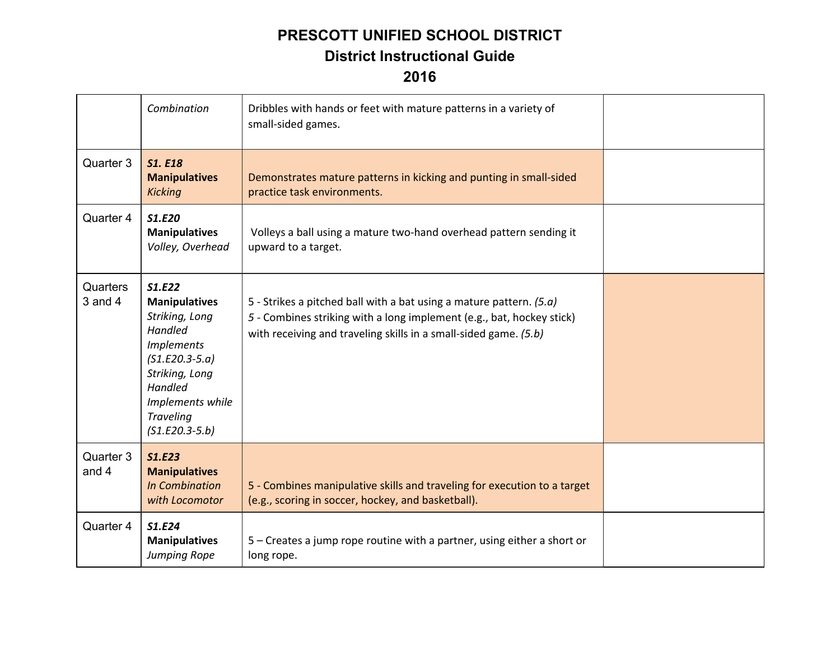|                         | Combination                                                                                                                                                                                   | Dribbles with hands or feet with mature patterns in a variety of<br>small-sided games.                                                                                                                             |  |
|-------------------------|-----------------------------------------------------------------------------------------------------------------------------------------------------------------------------------------------|--------------------------------------------------------------------------------------------------------------------------------------------------------------------------------------------------------------------|--|
| Quarter 3               | <b>S1. E18</b><br><b>Manipulatives</b><br><b>Kicking</b>                                                                                                                                      | Demonstrates mature patterns in kicking and punting in small-sided<br>practice task environments.                                                                                                                  |  |
| Quarter 4               | S1.E20<br><b>Manipulatives</b><br>Volley, Overhead                                                                                                                                            | Volleys a ball using a mature two-hand overhead pattern sending it<br>upward to a target.                                                                                                                          |  |
| Quarters<br>$3$ and $4$ | S1.E22<br><b>Manipulatives</b><br>Striking, Long<br>Handled<br><b>Implements</b><br>$(S1.E20.3-5.a)$<br>Striking, Long<br>Handled<br>Implements while<br><b>Traveling</b><br>$(S1.E20.3-5.b)$ | 5 - Strikes a pitched ball with a bat using a mature pattern. $(5.a)$<br>5 - Combines striking with a long implement (e.g., bat, hockey stick)<br>with receiving and traveling skills in a small-sided game. (5.b) |  |
| Quarter 3<br>and 4      | <b>S1.E23</b><br><b>Manipulatives</b><br><b>In Combination</b><br>with Locomotor                                                                                                              | 5 - Combines manipulative skills and traveling for execution to a target<br>(e.g., scoring in soccer, hockey, and basketball).                                                                                     |  |
| Quarter 4               | S1.E24<br><b>Manipulatives</b><br>Jumping Rope                                                                                                                                                | 5 – Creates a jump rope routine with a partner, using either a short or<br>long rope.                                                                                                                              |  |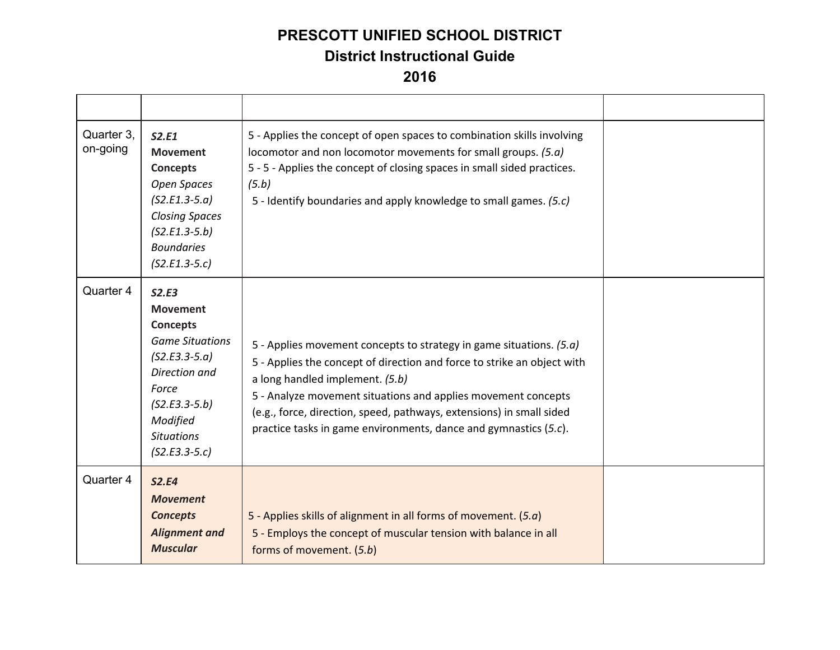| Quarter 3,<br>on-going | S2.E1<br><b>Movement</b><br>Concepts<br>Open Spaces<br>$(S2.E1.3-5.a)$<br><b>Closing Spaces</b><br>$(S2.E1.3-5.b)$<br><b>Boundaries</b><br>$(S2.E1.3-5.c)$                                | 5 - Applies the concept of open spaces to combination skills involving<br>locomotor and non locomotor movements for small groups. (5.a)<br>5 - 5 - Applies the concept of closing spaces in small sided practices.<br>(5.b)<br>5 - Identify boundaries and apply knowledge to small games. (5.c)                                                                                               |  |
|------------------------|-------------------------------------------------------------------------------------------------------------------------------------------------------------------------------------------|------------------------------------------------------------------------------------------------------------------------------------------------------------------------------------------------------------------------------------------------------------------------------------------------------------------------------------------------------------------------------------------------|--|
| Quarter 4              | S2.E3<br><b>Movement</b><br><b>Concepts</b><br><b>Game Situations</b><br>$(S2.E3.3-5.a)$<br>Direction and<br>Force<br>$(S2.E3.3-5.b)$<br>Modified<br><b>Situations</b><br>$(S2.E3.3-5.c)$ | 5 - Applies movement concepts to strategy in game situations. (5.a)<br>5 - Applies the concept of direction and force to strike an object with<br>a long handled implement. (5.b)<br>5 - Analyze movement situations and applies movement concepts<br>(e.g., force, direction, speed, pathways, extensions) in small sided<br>practice tasks in game environments, dance and gymnastics (5.c). |  |
| Quarter 4              | <b>S2.E4</b><br><b>Movement</b><br><b>Concepts</b><br><b>Alignment and</b><br><b>Muscular</b>                                                                                             | 5 - Applies skills of alignment in all forms of movement. $(5.a)$<br>5 - Employs the concept of muscular tension with balance in all<br>forms of movement. (5.b)                                                                                                                                                                                                                               |  |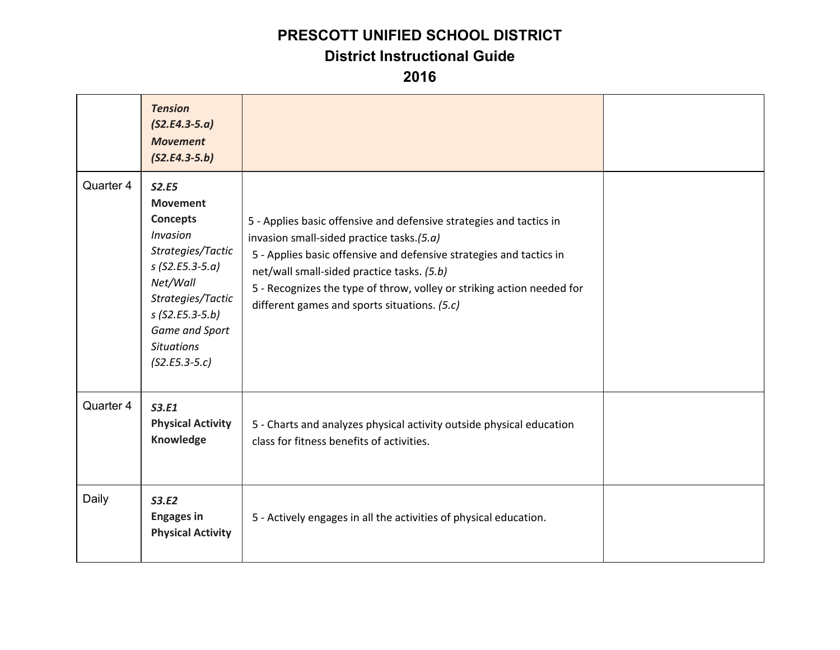### **PRESCOTT UNIFIED SCHOOL DISTRICT**

#### **District Instructional Guide**

|           | <b>Tension</b><br>$(S2.E4.3-5.a)$<br><b>Movement</b><br>$(S2.E4.3-5.b)$                                                                                                                                                  |                                                                                                                                                                                                                                                                                                                                                                 |  |
|-----------|--------------------------------------------------------------------------------------------------------------------------------------------------------------------------------------------------------------------------|-----------------------------------------------------------------------------------------------------------------------------------------------------------------------------------------------------------------------------------------------------------------------------------------------------------------------------------------------------------------|--|
| Quarter 4 | <b>S2.E5</b><br><b>Movement</b><br><b>Concepts</b><br>Invasion<br>Strategies/Tactic<br>$s$ (S2.E5.3-5.a)<br>Net/Wall<br>Strategies/Tactic<br>$s$ (S2.E5.3-5.b)<br>Game and Sport<br><b>Situations</b><br>$(S2.E5.3-5.c)$ | 5 - Applies basic offensive and defensive strategies and tactics in<br>invasion small-sided practice tasks.(5.a)<br>5 - Applies basic offensive and defensive strategies and tactics in<br>net/wall small-sided practice tasks. (5.b)<br>5 - Recognizes the type of throw, volley or striking action needed for<br>different games and sports situations. (5.c) |  |
| Quarter 4 | S3.E1<br><b>Physical Activity</b><br>Knowledge                                                                                                                                                                           | 5 - Charts and analyzes physical activity outside physical education<br>class for fitness benefits of activities.                                                                                                                                                                                                                                               |  |
| Daily     | <b>S3.E2</b><br><b>Engages in</b><br><b>Physical Activity</b>                                                                                                                                                            | 5 - Actively engages in all the activities of physical education.                                                                                                                                                                                                                                                                                               |  |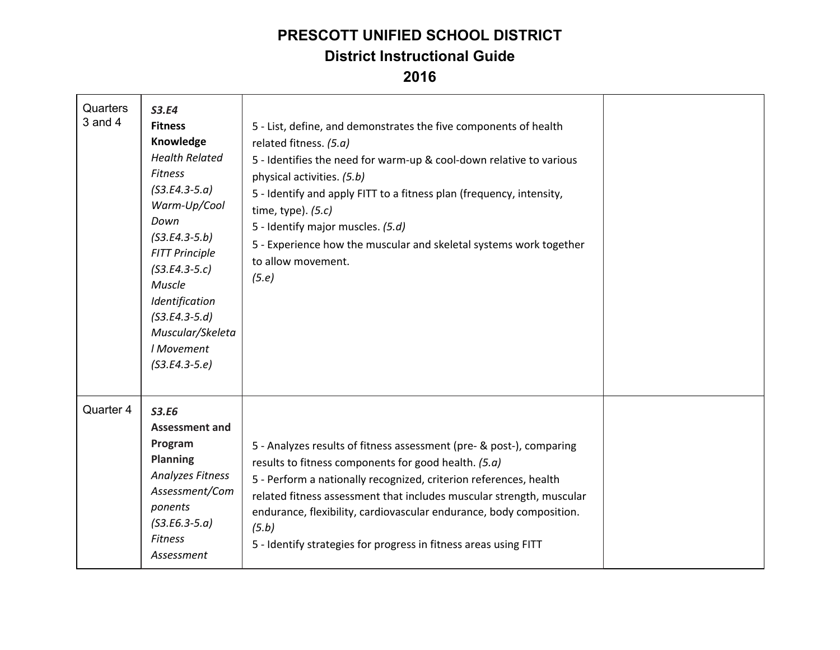| Quarters<br>$3$ and $4$ | <b>S3.E4</b><br><b>Fitness</b><br>Knowledge<br><b>Health Related</b><br><b>Fitness</b><br>$($ S3.E4.3-5.a $)$<br>Warm-Up/Cool<br>Down<br>$($ S3.E4.3-5.b)<br><b>FITT Principle</b><br>$(S3.E4.3-5.c)$<br>Muscle<br>Identification<br>$(S3.E4.3-5.d)$<br>Muscular/Skeleta<br>I Movement<br>$($ S3.E4.3-5.e $)$ | 5 - List, define, and demonstrates the five components of health<br>related fitness. (5.a)<br>5 - Identifies the need for warm-up & cool-down relative to various<br>physical activities. (5.b)<br>5 - Identify and apply FITT to a fitness plan (frequency, intensity,<br>time, type). $(5.c)$<br>5 - Identify major muscles. (5.d)<br>5 - Experience how the muscular and skeletal systems work together<br>to allow movement.<br>(5.e) |  |
|-------------------------|---------------------------------------------------------------------------------------------------------------------------------------------------------------------------------------------------------------------------------------------------------------------------------------------------------------|-------------------------------------------------------------------------------------------------------------------------------------------------------------------------------------------------------------------------------------------------------------------------------------------------------------------------------------------------------------------------------------------------------------------------------------------|--|
| Quarter 4               | <b>S3.E6</b><br><b>Assessment and</b><br>Program<br><b>Planning</b><br><b>Analyzes Fitness</b><br>Assessment/Com<br>ponents<br>$($ S3.E6.3-5.a $)$<br><b>Fitness</b><br>Assessment                                                                                                                            | 5 - Analyzes results of fitness assessment (pre- & post-), comparing<br>results to fitness components for good health. (5.a)<br>5 - Perform a nationally recognized, criterion references, health<br>related fitness assessment that includes muscular strength, muscular<br>endurance, flexibility, cardiovascular endurance, body composition.<br>(5.b)<br>5 - Identify strategies for progress in fitness areas using FITT             |  |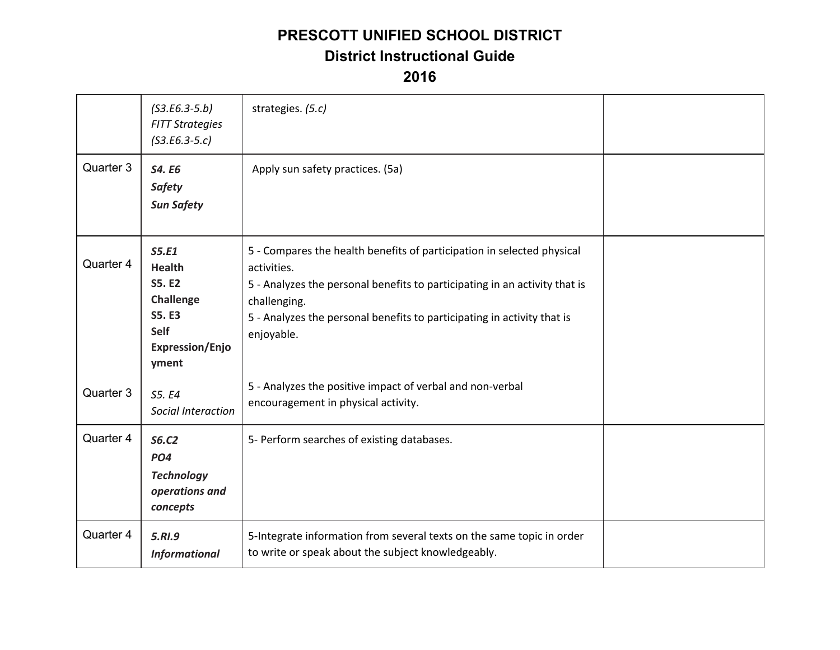|           | $(S3.E6.3-5.b)$<br><b>FITT Strategies</b><br>$(S3.E6.3-5.c)$                                                            | strategies. (5.c)                                                                                                                                                                                                                                                            |  |
|-----------|-------------------------------------------------------------------------------------------------------------------------|------------------------------------------------------------------------------------------------------------------------------------------------------------------------------------------------------------------------------------------------------------------------------|--|
| Quarter 3 | S4. E6<br><b>Safety</b><br><b>Sun Safety</b>                                                                            | Apply sun safety practices. (5a)                                                                                                                                                                                                                                             |  |
| Quarter 4 | S5.E1<br><b>Health</b><br><b>S5. E2</b><br>Challenge<br><b>S5. E3</b><br><b>Self</b><br><b>Expression/Enjo</b><br>yment | 5 - Compares the health benefits of participation in selected physical<br>activities.<br>5 - Analyzes the personal benefits to participating in an activity that is<br>challenging.<br>5 - Analyzes the personal benefits to participating in activity that is<br>enjoyable. |  |
| Quarter 3 | S5. E4<br>Social Interaction                                                                                            | 5 - Analyzes the positive impact of verbal and non-verbal<br>encouragement in physical activity.                                                                                                                                                                             |  |
| Quarter 4 | <b>S6.C2</b><br>PO <sub>4</sub><br><b>Technology</b><br>operations and<br>concepts                                      | 5- Perform searches of existing databases.                                                                                                                                                                                                                                   |  |
| Quarter 4 | 5.RI.9<br><b>Informational</b>                                                                                          | 5-Integrate information from several texts on the same topic in order<br>to write or speak about the subject knowledgeably.                                                                                                                                                  |  |